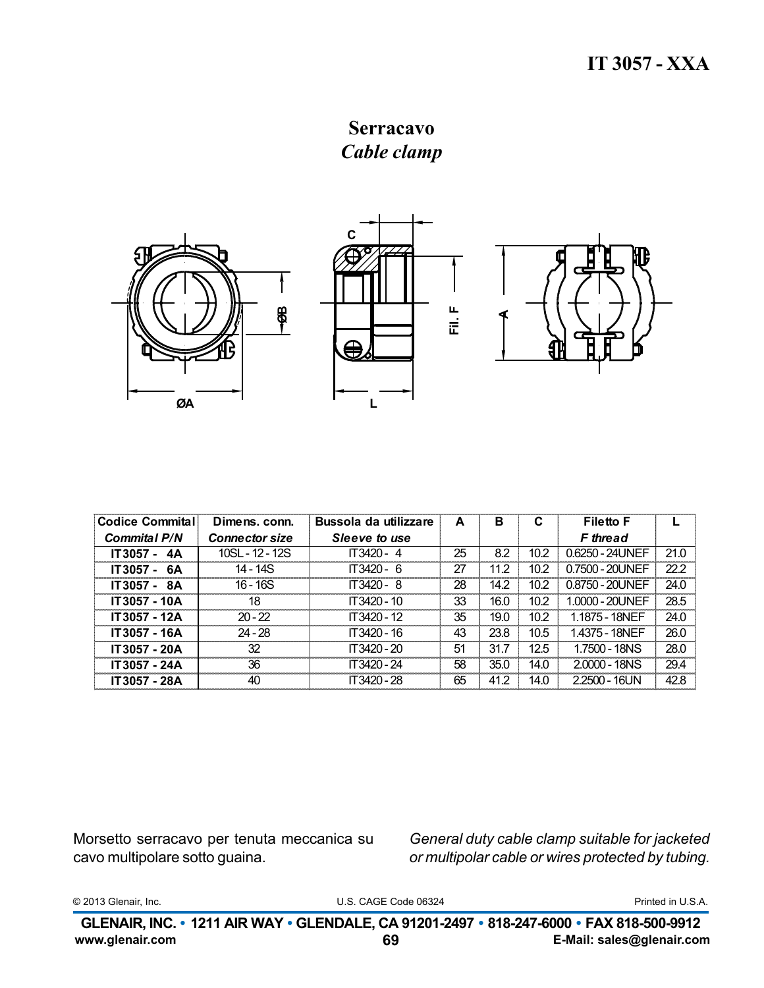**Serracavo** Cable clamp



| Codice Commital     | Dimens, conn.         | Bussola da utilizzare | A  | в    | C    | <b>Filetto F</b> |      |
|---------------------|-----------------------|-----------------------|----|------|------|------------------|------|
| <b>Commital P/N</b> | <b>Connector size</b> | Sleeve to use         |    |      |      | <b>F</b> thread  |      |
| IT3057 - 4A         | $10SL - 12 - 12S$     | $IT3420 - 4$          | 25 | 8.2  | 10.2 | 0.6250 - 24UNEF  | 21.0 |
| IT3057 - 6A         | $14 - 14S$            | IT3420 - 6            | 27 | 11.2 | 10.2 | 0.7500 - 20UNEF  | 22.2 |
| IT3057 - 8A         | $16 - 16S$            | IT3420 - 8            | 28 | 14.2 | 10.2 | 0.8750 - 20UNEF  | 24.0 |
| IT3057 - 10A        | 18                    | $IT3420 - 10$         | 33 | 16.0 | 10.2 | 1.0000 - 20UNEF  | 28.5 |
| IT3057 - 12A        | $20 - 22$             | $IT.3420 - 12$        | 35 | 19.0 | 10.2 | 1.1875 - 18NFF   | 24.0 |
| IT3057 - 16A        | $24 - 28$             | IT3420 - 16           | 43 | 23.8 | 10.5 | 1.4375 - 18NEF   | 26.0 |
| IT3057 - 20A        | 32                    | $IT.3420 - 20$        | 51 | 31.7 | 12.5 | 1.7500 - 18NS    | 28.0 |
| IT3057 - 24A        | 36                    | IT3420 - 24           | 58 | 35.0 | 14.0 | $2,0000 - 18NS$  | 29.4 |
| IT3057 - 28A        | 40                    | IT3420 - 28           | 65 | 41.2 | 14.0 | $2.2500 - 16UN$  | 42.8 |

Morsetto serracavo per tenuta meccanica su cavo multipolare sotto guaina.

General duty cable clamp suitable for jacketed or multipolar cable or wires protected by tubing.

© 2013 Glenair, Inc.

U.S. CAGE Code 06324

Printed in U.S.A.